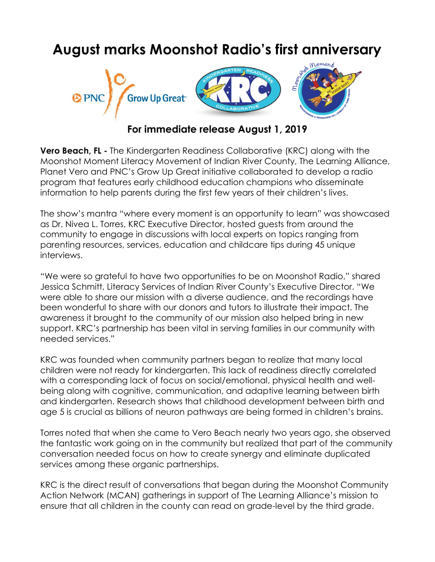# **August marks Moonshot Radio's first anniversary**



# **For immediate release August 1, 2019**

**Vero Beach, FL -** The Kindergarten Readiness Collaborative (KRC) along with the Moonshot Moment Literacy Movement of Indian River County, The Learning Alliance, Planet Vero and PNC's Grow Up Great initiative collaborated to develop a radio program that features early childhood education champions who disseminate information to help parents during the first few years of their children's lives.

The show's mantra "where every moment is an opportunity to learn" was showcased as Dr. Nivea L. Torres, KRC Executive Director, hosted guests from around the community to engage in discussions with local experts on topics ranging from parenting resources, services, education and childcare tips during 45 unique interviews.

"We were so grateful to have two opportunities to be on Moonshot Radio," shared Jessica Schmitt, Literacy Services of Indian River County's Executive Director. "We were able to share our mission with a diverse audience, and the recordings have been wonderful to share with our donors and tutors to illustrate their impact. The awareness it brought to the community of our mission also helped bring in new support. KRC's partnership has been vital in serving families in our community with needed services."

KRC was founded when community partners began to realize that many local children were not ready for kindergarten. This lack of readiness directly correlated with a corresponding lack of focus on social/emotional, physical health and wellbeing along with cognitive, communication, and adaptive learning between birth and kindergarten. Research shows that childhood development between birth and age 5 is crucial as billions of neuron pathways are being formed in children's brains.

Torres noted that when she came to Vero Beach nearly two years ago, she observed the fantastic work going on in the community but realized that part of the community conversation needed focus on how to create synergy and eliminate duplicated services among these organic partnerships.

KRC is the direct result of conversations that began during the Moonshot Community Action Network (MCAN) gatherings in support of The Learning Alliance's mission to ensure that all children in the county can read on grade-level by the third grade.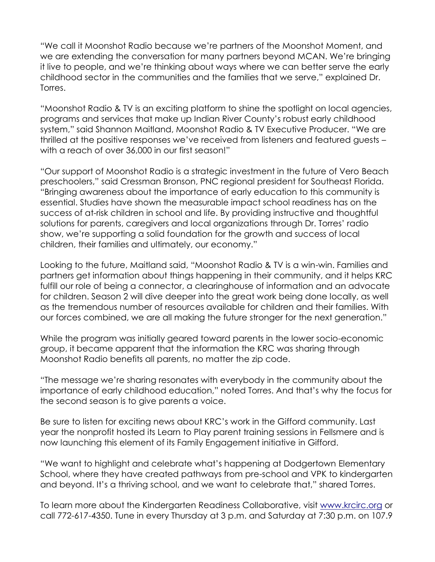"We call it Moonshot Radio because we're partners of the Moonshot Moment, and we are extending the conversation for many partners beyond MCAN. We're bringing it live to people, and we're thinking about ways where we can better serve the early childhood sector in the communities and the families that we serve," explained Dr. Torres.

"Moonshot Radio & TV is an exciting platform to shine the spotlight on local agencies, programs and services that make up Indian River County's robust early childhood system," said Shannon Maitland, Moonshot Radio & TV Executive Producer. "We are thrilled at the positive responses we've received from listeners and featured guests – with a reach of over 36,000 in our first season!"

"Our support of Moonshot Radio is a strategic investment in the future of Vero Beach preschoolers," said Cressman Bronson, PNC regional president for Southeast Florida. "Bringing awareness about the importance of early education to this community is essential. Studies have shown the measurable impact school readiness has on the success of at-risk children in school and life. By providing instructive and thoughtful solutions for parents, caregivers and local organizations through Dr. Torres' radio show, we're supporting a solid foundation for the growth and success of local children, their families and ultimately, our economy."

Looking to the future, Maitland said, "Moonshot Radio & TV is a win-win. Families and partners get information about things happening in their community, and it helps KRC fulfill our role of being a connector, a clearinghouse of information and an advocate for children. Season 2 will dive deeper into the great work being done locally, as well as the tremendous number of resources available for children and their families. With our forces combined, we are all making the future stronger for the next generation."

While the program was initially geared toward parents in the lower socio-economic group, it became apparent that the information the KRC was sharing through Moonshot Radio benefits all parents, no matter the zip code.

"The message we're sharing resonates with everybody in the community about the importance of early childhood education," noted Torres. And that's why the focus for the second season is to give parents a voice.

Be sure to listen for exciting news about KRC's work in the Gifford community. Last year the nonprofit hosted its Learn to Play parent training sessions in Fellsmere and is now launching this element of its Family Engagement initiative in Gifford.

"We want to highlight and celebrate what's happening at Dodgertown Elementary School, where they have created pathways from pre-school and VPK to kindergarten and beyond. It's a thriving school, and we want to celebrate that," shared Torres.

To learn more about the Kindergarten Readiness Collaborative, visit [www.krcirc.org](http://www.krcirc.org/) or call 772-617-4350. Tune in every Thursday at 3 p.m. and Saturday at 7:30 p.m. on 107.9